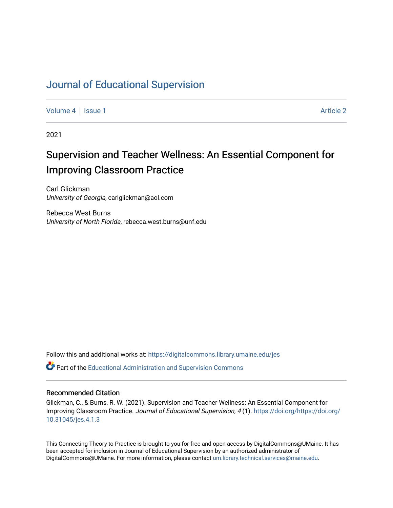## [Journal of Educational Supervision](https://digitalcommons.library.umaine.edu/jes)

[Volume 4](https://digitalcommons.library.umaine.edu/jes/vol4) | [Issue 1](https://digitalcommons.library.umaine.edu/jes/vol4/iss1) Article 2

2021

## Supervision and Teacher Wellness: An Essential Component for Improving Classroom Practice

Carl Glickman University of Georgia, carlglickman@aol.com

Rebecca West Burns University of North Florida, rebecca.west.burns@unf.edu

Follow this and additional works at: [https://digitalcommons.library.umaine.edu/jes](https://digitalcommons.library.umaine.edu/jes?utm_source=digitalcommons.library.umaine.edu%2Fjes%2Fvol4%2Fiss1%2F2&utm_medium=PDF&utm_campaign=PDFCoverPages)

**C**<sup> $\bullet$ </sup> Part of the [Educational Administration and Supervision Commons](http://network.bepress.com/hgg/discipline/787?utm_source=digitalcommons.library.umaine.edu%2Fjes%2Fvol4%2Fiss1%2F2&utm_medium=PDF&utm_campaign=PDFCoverPages)

#### Recommended Citation

Glickman, C., & Burns, R. W. (2021). Supervision and Teacher Wellness: An Essential Component for Improving Classroom Practice. Journal of Educational Supervision, 4 (1). [https://doi.org/https://doi.org/](https://doi.org/https://doi.org/10.31045/jes.4.1.3) [10.31045/jes.4.1.3](https://doi.org/https://doi.org/10.31045/jes.4.1.3) 

This Connecting Theory to Practice is brought to you for free and open access by DigitalCommons@UMaine. It has been accepted for inclusion in Journal of Educational Supervision by an authorized administrator of DigitalCommons@UMaine. For more information, please contact [um.library.technical.services@maine.edu](mailto:um.library.technical.services@maine.edu).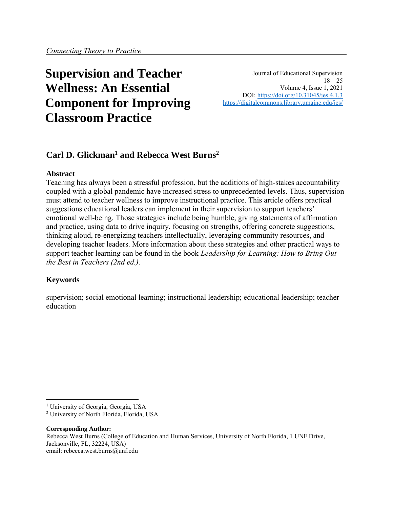# **Supervision and Teacher Wellness: An Essential Component for Improving Classroom Practice**

Journal of Educational Supervision  $18 - 25$ Volume 4, Issue 1, 2021 DOI:<https://doi.org/10.31045/jes.4.1.3> <https://digitalcommons.library.umaine.edu/jes/>

### **Carl D. Glickman<sup>1</sup> and Rebecca West Burns<sup>2</sup>**

#### **Abstract**

Teaching has always been a stressful profession, but the additions of high-stakes accountability coupled with a global pandemic have increased stress to unprecedented levels. Thus, supervision must attend to teacher wellness to improve instructional practice. This article offers practical suggestions educational leaders can implement in their supervision to support teachers' emotional well-being. Those strategies include being humble, giving statements of affirmation and practice, using data to drive inquiry, focusing on strengths, offering concrete suggestions, thinking aloud, re-energizing teachers intellectually, leveraging community resources, and developing teacher leaders. More information about these strategies and other practical ways to support teacher learning can be found in the book *Leadership for Learning: How to Bring Out the Best in Teachers (2nd ed.).*

#### **Keywords**

supervision; social emotional learning; instructional leadership; educational leadership; teacher education

#### **Corresponding Author:**

Rebecca West Burns (College of Education and Human Services, University of North Florida, 1 UNF Drive, Jacksonville, FL, 32224, USA) email: rebecca.west.burns@unf.edu

<sup>&</sup>lt;sup>1</sup> University of Georgia, Georgia, USA

<sup>2</sup> University of North Florida, Florida, USA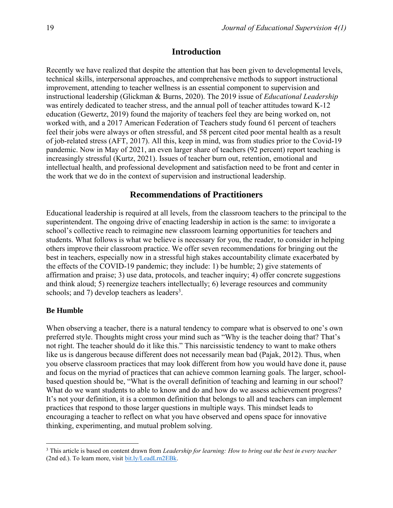#### **Introduction**

Recently we have realized that despite the attention that has been given to developmental levels, technical skills, interpersonal approaches, and comprehensive methods to support instructional improvement, attending to teacher wellness is an essential component to supervision and instructional leadership (Glickman & Burns, 2020). The 2019 issue of *Educational Leadership* was entirely dedicated to teacher stress, and the annual poll of teacher attitudes toward K-12 education (Gewertz, 2019) found the majority of teachers feel they are being worked on, not worked with, and a 2017 American Federation of Teachers study found 61 percent of teachers feel their jobs were always or often stressful, and 58 percent cited poor mental health as a result of job-related stress (AFT, 2017). All this, keep in mind, was from studies prior to the Covid-19 pandemic. Now in May of 2021, an even larger share of teachers (92 percent) report teaching is increasingly stressful (Kurtz, 2021). Issues of teacher burn out, retention, emotional and intellectual health, and professional development and satisfaction need to be front and center in the work that we do in the context of supervision and instructional leadership.

#### **Recommendations of Practitioners**

Educational leadership is required at all levels, from the classroom teachers to the principal to the superintendent. The ongoing drive of enacting leadership in action is the same: to invigorate a school's collective reach to reimagine new classroom learning opportunities for teachers and students. What follows is what we believe is necessary for you, the reader, to consider in helping others improve their classroom practice. We offer seven recommendations for bringing out the best in teachers, especially now in a stressful high stakes accountability climate exacerbated by the effects of the COVID-19 pandemic; they include: 1) be humble; 2) give statements of affirmation and praise; 3) use data, protocols, and teacher inquiry; 4) offer concrete suggestions and think aloud; 5) reenergize teachers intellectually; 6) leverage resources and community schools; and 7) develop teachers as leaders<sup>3</sup>.

#### **Be Humble**

When observing a teacher, there is a natural tendency to compare what is observed to one's own preferred style. Thoughts might cross your mind such as "Why is the teacher doing that? That's not right. The teacher should do it like this." This narcissistic tendency to want to make others like us is dangerous because different does not necessarily mean bad (Pajak, 2012). Thus, when you observe classroom practices that may look different from how you would have done it, pause and focus on the myriad of practices that can achieve common learning goals. The larger, schoolbased question should be, "What is the overall definition of teaching and learning in our school? What do we want students to able to know and do and how do we assess achievement progress? It's not your definition, it is a common definition that belongs to all and teachers can implement practices that respond to those larger questions in multiple ways. This mindset leads to encouraging a teacher to reflect on what you have observed and opens space for innovative thinking, experimenting, and mutual problem solving.

<sup>3</sup> This article is based on content drawn from *Leadership for learning: How to bring out the best in every teacher* (2nd ed.). To learn more, visit [bit.ly/LeadLrn2EBk.](https://t.co/dd6lTAZHtZ?amp=1)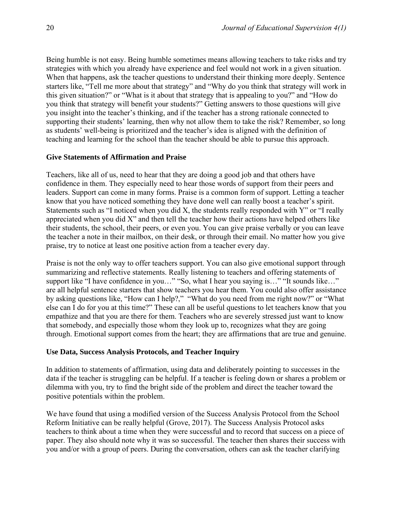Being humble is not easy. Being humble sometimes means allowing teachers to take risks and try strategies with which you already have experience and feel would not work in a given situation. When that happens, ask the teacher questions to understand their thinking more deeply. Sentence starters like, "Tell me more about that strategy" and "Why do you think that strategy will work in this given situation?" or "What is it about that strategy that is appealing to you?" and "How do you think that strategy will benefit your students?" Getting answers to those questions will give you insight into the teacher's thinking, and if the teacher has a strong rationale connected to supporting their students' learning, then why not allow them to take the risk? Remember, so long as students' well-being is prioritized and the teacher's idea is aligned with the definition of teaching and learning for the school than the teacher should be able to pursue this approach.

#### **Give Statements of Affirmation and Praise**

Teachers, like all of us, need to hear that they are doing a good job and that others have confidence in them. They especially need to hear those words of support from their peers and leaders. Support can come in many forms. Praise is a common form of support. Letting a teacher know that you have noticed something they have done well can really boost a teacher's spirit. Statements such as "I noticed when you did X, the students really responded with Y" or "I really appreciated when you did X" and then tell the teacher how their actions have helped others like their students, the school, their peers, or even you. You can give praise verbally or you can leave the teacher a note in their mailbox, on their desk, or through their email. No matter how you give praise, try to notice at least one positive action from a teacher every day.

Praise is not the only way to offer teachers support. You can also give emotional support through summarizing and reflective statements. Really listening to teachers and offering statements of support like "I have confidence in you…" "So, what I hear you saying is…" "It sounds like..." are all helpful sentence starters that show teachers you hear them. You could also offer assistance by asking questions like, "How can I help?," "What do you need from me right now?" or "What else can I do for you at this time?" These can all be useful questions to let teachers know that you empathize and that you are there for them. Teachers who are severely stressed just want to know that somebody, and especially those whom they look up to, recognizes what they are going through. Emotional support comes from the heart; they are affirmations that are true and genuine.

#### **Use Data, Success Analysis Protocols, and Teacher Inquiry**

In addition to statements of affirmation, using data and deliberately pointing to successes in the data if the teacher is struggling can be helpful. If a teacher is feeling down or shares a problem or dilemma with you, try to find the bright side of the problem and direct the teacher toward the positive potentials within the problem.

We have found that using a modified version of the Success Analysis Protocol from the School Reform Initiative can be really helpful (Grove, 2017). The Success Analysis Protocol asks teachers to think about a time when they were successful and to record that success on a piece of paper. They also should note why it was so successful. The teacher then shares their success with you and/or with a group of peers. During the conversation, others can ask the teacher clarifying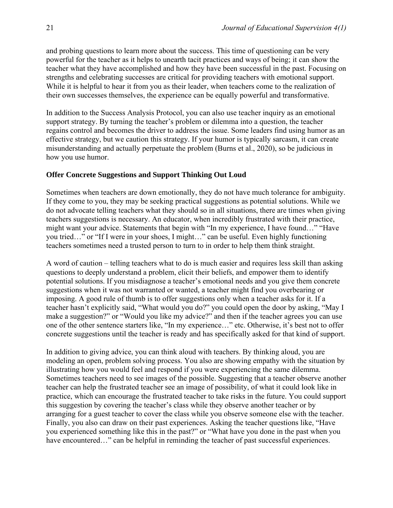and probing questions to learn more about the success. This time of questioning can be very powerful for the teacher as it helps to unearth tacit practices and ways of being; it can show the teacher what they have accomplished and how they have been successful in the past. Focusing on strengths and celebrating successes are critical for providing teachers with emotional support. While it is helpful to hear it from you as their leader, when teachers come to the realization of their own successes themselves, the experience can be equally powerful and transformative.

In addition to the Success Analysis Protocol, you can also use teacher inquiry as an emotional support strategy. By turning the teacher's problem or dilemma into a question, the teacher regains control and becomes the driver to address the issue. Some leaders find using humor as an effective strategy, but we caution this strategy. If your humor is typically sarcasm, it can create misunderstanding and actually perpetuate the problem (Burns et al., 2020), so be judicious in how you use humor.

#### **Offer Concrete Suggestions and Support Thinking Out Loud**

Sometimes when teachers are down emotionally, they do not have much tolerance for ambiguity. If they come to you, they may be seeking practical suggestions as potential solutions. While we do not advocate telling teachers what they should so in all situations, there are times when giving teachers suggestions is necessary. An educator, when incredibly frustrated with their practice, might want your advice. Statements that begin with "In my experience, I have found…" "Have you tried…" or "If I were in your shoes, I might…" can be useful. Even highly functioning teachers sometimes need a trusted person to turn to in order to help them think straight.

A word of caution – telling teachers what to do is much easier and requires less skill than asking questions to deeply understand a problem, elicit their beliefs, and empower them to identify potential solutions. If you misdiagnose a teacher's emotional needs and you give them concrete suggestions when it was not warranted or wanted, a teacher might find you overbearing or imposing. A good rule of thumb is to offer suggestions only when a teacher asks for it. If a teacher hasn't explicitly said, "What would you do?" you could open the door by asking, "May I make a suggestion?" or "Would you like my advice?" and then if the teacher agrees you can use one of the other sentence starters like, "In my experience…" etc. Otherwise, it's best not to offer concrete suggestions until the teacher is ready and has specifically asked for that kind of support.

In addition to giving advice, you can think aloud with teachers. By thinking aloud, you are modeling an open, problem solving process. You also are showing empathy with the situation by illustrating how you would feel and respond if you were experiencing the same dilemma. Sometimes teachers need to see images of the possible. Suggesting that a teacher observe another teacher can help the frustrated teacher see an image of possibility, of what it could look like in practice, which can encourage the frustrated teacher to take risks in the future. You could support this suggestion by covering the teacher's class while they observe another teacher or by arranging for a guest teacher to cover the class while you observe someone else with the teacher. Finally, you also can draw on their past experiences. Asking the teacher questions like, "Have you experienced something like this in the past?" or "What have you done in the past when you have encountered..." can be helpful in reminding the teacher of past successful experiences.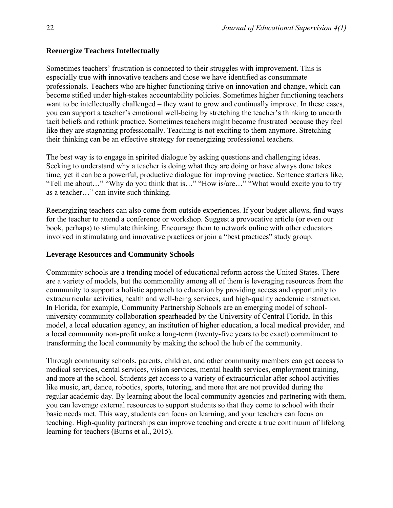#### **Reenergize Teachers Intellectually**

Sometimes teachers' frustration is connected to their struggles with improvement. This is especially true with innovative teachers and those we have identified as consummate professionals. Teachers who are higher functioning thrive on innovation and change, which can become stifled under high-stakes accountability policies. Sometimes higher functioning teachers want to be intellectually challenged – they want to grow and continually improve. In these cases, you can support a teacher's emotional well-being by stretching the teacher's thinking to unearth tacit beliefs and rethink practice. Sometimes teachers might become frustrated because they feel like they are stagnating professionally. Teaching is not exciting to them anymore. Stretching their thinking can be an effective strategy for reenergizing professional teachers.

The best way is to engage in spirited dialogue by asking questions and challenging ideas. Seeking to understand why a teacher is doing what they are doing or have always done takes time, yet it can be a powerful, productive dialogue for improving practice. Sentence starters like, "Tell me about…" "Why do you think that is…" "How is/are…" "What would excite you to try as a teacher…" can invite such thinking.

Reenergizing teachers can also come from outside experiences. If your budget allows, find ways for the teacher to attend a conference or workshop. Suggest a provocative article (or even our book, perhaps) to stimulate thinking. Encourage them to network online with other educators involved in stimulating and innovative practices or join a "best practices" study group.

#### **Leverage Resources and Community Schools**

Community schools are a trending model of educational reform across the United States. There are a variety of models, but the commonality among all of them is leveraging resources from the community to support a holistic approach to education by providing access and opportunity to extracurricular activities, health and well-being services, and high-quality academic instruction. In Florida, for example, Community Partnership Schools are an emerging model of schooluniversity community collaboration spearheaded by the University of Central Florida. In this model, a local education agency, an institution of higher education, a local medical provider, and a local community non-profit make a long-term (twenty-five years to be exact) commitment to transforming the local community by making the school the hub of the community.

Through community schools, parents, children, and other community members can get access to medical services, dental services, vision services, mental health services, employment training, and more at the school. Students get access to a variety of extracurricular after school activities like music, art, dance, robotics, sports, tutoring, and more that are not provided during the regular academic day. By learning about the local community agencies and partnering with them, you can leverage external resources to support students so that they come to school with their basic needs met. This way, students can focus on learning, and your teachers can focus on teaching. High-quality partnerships can improve teaching and create a true continuum of lifelong learning for teachers (Burns et al., 2015).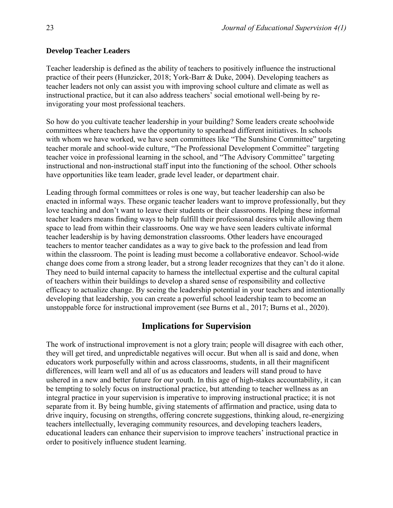#### **Develop Teacher Leaders**

Teacher leadership is defined as the ability of teachers to positively influence the instructional practice of their peers (Hunzicker, 2018; York-Barr & Duke, 2004). Developing teachers as teacher leaders not only can assist you with improving school culture and climate as well as instructional practice, but it can also address teachers' social emotional well-being by reinvigorating your most professional teachers.

So how do you cultivate teacher leadership in your building? Some leaders create schoolwide committees where teachers have the opportunity to spearhead different initiatives. In schools with whom we have worked, we have seen committees like "The Sunshine Committee" targeting teacher morale and school-wide culture, "The Professional Development Committee" targeting teacher voice in professional learning in the school, and "The Advisory Committee" targeting instructional and non-instructional staff input into the functioning of the school. Other schools have opportunities like team leader, grade level leader, or department chair.

Leading through formal committees or roles is one way, but teacher leadership can also be enacted in informal ways. These organic teacher leaders want to improve professionally, but they love teaching and don't want to leave their students or their classrooms. Helping these informal teacher leaders means finding ways to help fulfill their professional desires while allowing them space to lead from within their classrooms. One way we have seen leaders cultivate informal teacher leadership is by having demonstration classrooms. Other leaders have encouraged teachers to mentor teacher candidates as a way to give back to the profession and lead from within the classroom. The point is leading must become a collaborative endeavor. School-wide change does come from a strong leader, but a strong leader recognizes that they can't do it alone. They need to build internal capacity to harness the intellectual expertise and the cultural capital of teachers within their buildings to develop a shared sense of responsibility and collective efficacy to actualize change. By seeing the leadership potential in your teachers and intentionally developing that leadership, you can create a powerful school leadership team to become an unstoppable force for instructional improvement (see Burns et al., 2017; Burns et al., 2020).

#### **Implications for Supervision**

The work of instructional improvement is not a glory train; people will disagree with each other, they will get tired, and unpredictable negatives will occur. But when all is said and done, when educators work purposefully within and across classrooms, students, in all their magnificent differences, will learn well and all of us as educators and leaders will stand proud to have ushered in a new and better future for our youth. In this age of high-stakes accountability, it can be tempting to solely focus on instructional practice, but attending to teacher wellness as an integral practice in your supervision is imperative to improving instructional practice; it is not separate from it. By being humble, giving statements of affirmation and practice, using data to drive inquiry, focusing on strengths, offering concrete suggestions, thinking aloud, re-energizing teachers intellectually, leveraging community resources, and developing teachers leaders, educational leaders can enhance their supervision to improve teachers' instructional practice in order to positively influence student learning.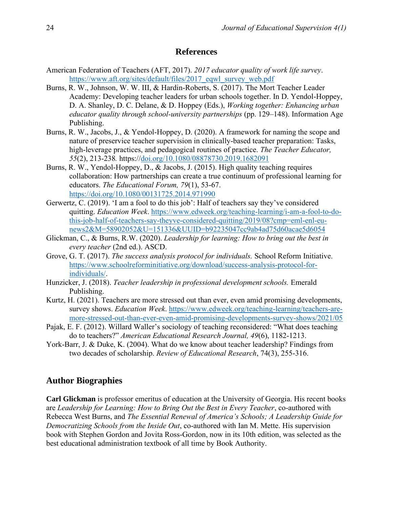#### **References**

- American Federation of Teachers (AFT, 2017). *2017 educator quality of work life survey*. [https://www.aft.org/sites/default/files/2017\\_eqwl\\_survey\\_web.pdf](https://www.aft.org/sites/default/files/2017_eqwl_survey_web.pdf)
- Burns, R. W., Johnson, W. W. III, & Hardin-Roberts, S. (2017). The Mort Teacher Leader Academy: Developing teacher leaders for urban schools together. In D. Yendol-Hoppey, D. A. Shanley, D. C. Delane, & D. Hoppey (Eds.), *Working together: Enhancing urban educator quality through school-university partnerships* (pp. 129–148). Information Age Publishing.
- Burns, R. W., Jacobs, J., & Yendol-Hoppey, D. (2020). A framework for naming the scope and nature of preservice teacher supervision in clinically-based teacher preparation: Tasks, high-leverage practices, and pedagogical routines of practice. *The Teacher Educator, 55*(2), 213-238*.* https:/[/doi.org/10.1080/08878730.2019.1682091](https://doi.org/10.1080/08878730.2019.1682091)
- Burns, R. W., Yendol-Hoppey, D., & Jacobs, J. (2015). High quality teaching requires collaboration: How partnerships can create a true continuum of professional learning for educators. *The Educational Forum, 79*(1), 53-67. <https://doi.org/10.1080/00131725.2014.971990>
- Gerwertz, C. (2019). 'I am a fool to do this job': Half of teachers say they've considered quitting. *Education Week*. [https://www.edweek.org/teaching-learning/i-am-a-fool-to-do](https://www.edweek.org/teaching-learning/i-am-a-fool-to-do-this-job-half-of-teachers-say-theyve-considered-quitting/2019/08?cmp=eml-enl-eu-news2&M=58902052&U=151336&UUID=b92235047cc9ab4ad75d60acae5d6054)[this-job-half-of-teachers-say-theyve-considered-quitting/2019/08?cmp=eml-enl-eu](https://www.edweek.org/teaching-learning/i-am-a-fool-to-do-this-job-half-of-teachers-say-theyve-considered-quitting/2019/08?cmp=eml-enl-eu-news2&M=58902052&U=151336&UUID=b92235047cc9ab4ad75d60acae5d6054)[news2&M=58902052&U=151336&UUID=b92235047cc9ab4ad75d60acae5d6054](https://www.edweek.org/teaching-learning/i-am-a-fool-to-do-this-job-half-of-teachers-say-theyve-considered-quitting/2019/08?cmp=eml-enl-eu-news2&M=58902052&U=151336&UUID=b92235047cc9ab4ad75d60acae5d6054)
- Glickman, C., & Burns, R.W. (2020). *Leadership for learning: How to bring out the best in every teacher* (2nd ed.). ASCD.
- Grove, G. T. (2017). *The success analysis protocol for individuals.* School Reform Initiative. [https://www.schoolreforminitiative.org/download/success-analysis-protocol-for](https://www.schoolreforminitiative.org/download/success-analysis-protocol-for-individuals/)[individuals/.](https://www.schoolreforminitiative.org/download/success-analysis-protocol-for-individuals/)
- Hunzicker, J. (2018). *Teacher leadership in professional development schools.* Emerald Publishing.
- Kurtz, H. (2021). Teachers are more stressed out than ever, even amid promising developments, survey shows. *Education Week*. [https://www.edweek.org/teaching-learning/teachers-are](https://www.edweek.org/teaching-learning/teachers-are-more-stressed-out-than-ever-even-amid-promising-developments-survey-shows/2021/05)[more-stressed-out-than-ever-even-amid-promising-developments-survey-shows/2021/05](https://www.edweek.org/teaching-learning/teachers-are-more-stressed-out-than-ever-even-amid-promising-developments-survey-shows/2021/05)
- Pajak, E. F. (2012). Willard Waller's sociology of teaching reconsidered: "What does teaching do to teachers?" *American Educational Research Journal, 49*(6), 1182-1213.
- York-Barr, J. & Duke, K. (2004). What do we know about teacher leadership? Findings from two decades of scholarship. *Review of Educational Research*, 74(3), 255-316.

#### **Author Biographies**

**Carl Glickman** is professor emeritus of education at the University of Georgia. His recent books are *Leadership for Learning: How to Bring Out the Best in Every Teacher*, co-authored with Rebecca West Burns, and *The Essential Renewal of America's Schools; A Leadership Guide for Democratizing Schools from the Inside Out*, co-authored with Ian M. Mette. His supervision book with Stephen Gordon and Jovita Ross-Gordon, now in its 10th edition, was selected as the best educational administration textbook of all time by Book Authority.